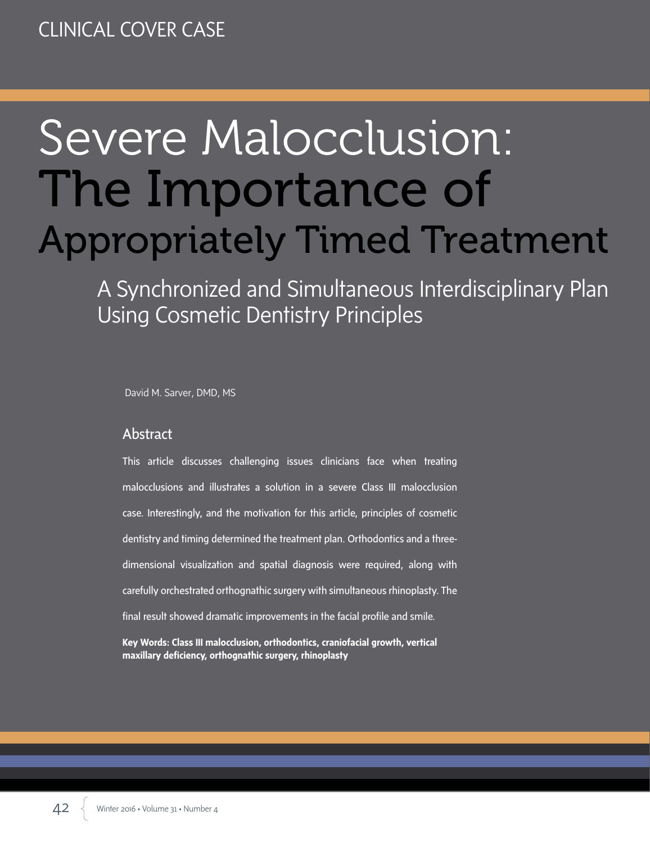# The Importance of Appropriately Timed Treatment Severe Malocclusion:

A Synchronized and Simultaneous Interdisciplinary Plan Using Cosmetic Dentistry Principles

David M. Sarver, DMD, MS

### Abstract

This article discusses challenging issues clinicians face when treating malocclusions and illustrates a solution in a severe Class III malocclusion case. Interestingly, and the motivation for this article, principles of cosmetic dentistry and timing determined the treatment plan. Orthodontics and a threedimensional visualization and spatial diagnosis were required, along with carefully orchestrated orthognathic surgery with simultaneous rhinoplasty. The final result showed dramatic improvements in the facial profile and smile.

**Key Words: Class III malocclusion, orthodontics, craniofacial growth, vertical maxillary deficiency, orthognathic surgery, rhinoplasty**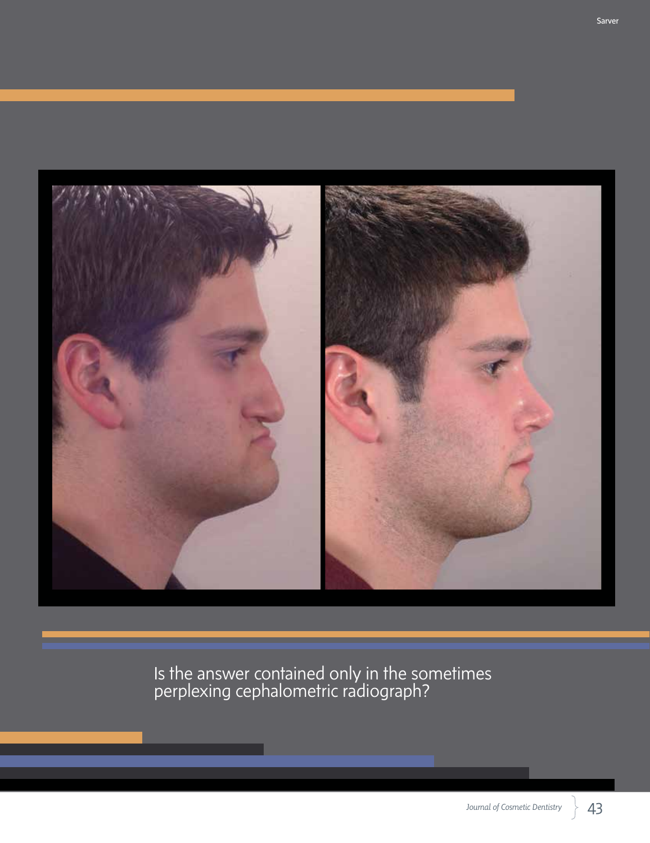

Is the answer contained only in the sometimes perplexing cephalometric radiograph?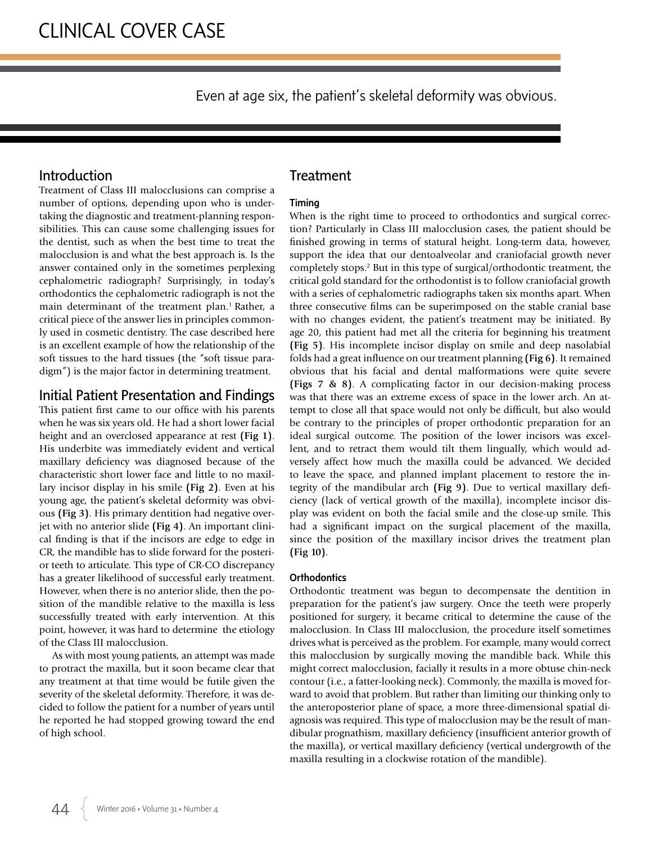Even at age six, the patient's skeletal deformity was obvious.

### Introduction

Treatment of Class III malocclusions can comprise a number of options, depending upon who is undertaking the diagnostic and treatment-planning responsibilities. This can cause some challenging issues for the dentist, such as when the best time to treat the malocclusion is and what the best approach is. Is the answer contained only in the sometimes perplexing cephalometric radiograph? Surprisingly, in today's orthodontics the cephalometric radiograph is not the main determinant of the treatment plan.<sup>1</sup> Rather, a critical piece of the answer lies in principles commonly used in cosmetic dentistry. The case described here is an excellent example of how the relationship of the soft tissues to the hard tissues (the "soft tissue paradigm") is the major factor in determining treatment.

## Initial Patient Presentation and Findings

This patient first came to our office with his parents when he was six years old. He had a short lower facial height and an overclosed appearance at rest **(Fig 1)**. His underbite was immediately evident and vertical maxillary deficiency was diagnosed because of the characteristic short lower face and little to no maxillary incisor display in his smile **(Fig 2)**. Even at his young age, the patient's skeletal deformity was obvious **(Fig 3)**. His primary dentition had negative overjet with no anterior slide **(Fig 4)**. An important clinical finding is that if the incisors are edge to edge in CR, the mandible has to slide forward for the posterior teeth to articulate. This type of CR-CO discrepancy has a greater likelihood of successful early treatment. However, when there is no anterior slide, then the position of the mandible relative to the maxilla is less successfully treated with early intervention. At this point, however, it was hard to determine the etiology of the Class III malocclusion.

As with most young patients, an attempt was made to protract the maxilla, but it soon became clear that any treatment at that time would be futile given the severity of the skeletal deformity. Therefore, it was decided to follow the patient for a number of years until he reported he had stopped growing toward the end of high school.

### **Treatment**

### Timing

When is the right time to proceed to orthodontics and surgical correction? Particularly in Class III malocclusion cases, the patient should be finished growing in terms of statural height. Long-term data, however, support the idea that our dentoalveolar and craniofacial growth never completely stops.2 But in this type of surgical/orthodontic treatment, the critical gold standard for the orthodontist is to follow craniofacial growth with a series of cephalometric radiographs taken six months apart. When three consecutive films can be superimposed on the stable cranial base with no changes evident, the patient's treatment may be initiated. By age 20, this patient had met all the criteria for beginning his treatment **(Fig 5)**. His incomplete incisor display on smile and deep nasolabial folds had a great influence on our treatment planning **(Fig 6)**. It remained obvious that his facial and dental malformations were quite severe **(Figs 7 & 8)**. A complicating factor in our decision-making process was that there was an extreme excess of space in the lower arch. An attempt to close all that space would not only be difficult, but also would be contrary to the principles of proper orthodontic preparation for an ideal surgical outcome. The position of the lower incisors was excellent, and to retract them would tilt them lingually, which would adversely affect how much the maxilla could be advanced. We decided to leave the space, and planned implant placement to restore the integrity of the mandibular arch **(Fig 9)**. Due to vertical maxillary deficiency (lack of vertical growth of the maxilla), incomplete incisor display was evident on both the facial smile and the close-up smile. This had a significant impact on the surgical placement of the maxilla, since the position of the maxillary incisor drives the treatment plan **(Fig 10)**.

### **Orthodontics**

Orthodontic treatment was begun to decompensate the dentition in preparation for the patient's jaw surgery. Once the teeth were properly positioned for surgery, it became critical to determine the cause of the malocclusion. In Class III malocclusion, the procedure itself sometimes drives what is perceived as the problem. For example, many would correct this malocclusion by surgically moving the mandible back. While this might correct malocclusion, facially it results in a more obtuse chin-neck contour (i.e., a fatter-looking neck). Commonly, the maxilla is moved forward to avoid that problem. But rather than limiting our thinking only to the anteroposterior plane of space, a more three-dimensional spatial diagnosis was required. This type of malocclusion may be the result of mandibular prognathism, maxillary deficiency (insufficient anterior growth of the maxilla), or vertical maxillary deficiency (vertical undergrowth of the maxilla resulting in a clockwise rotation of the mandible).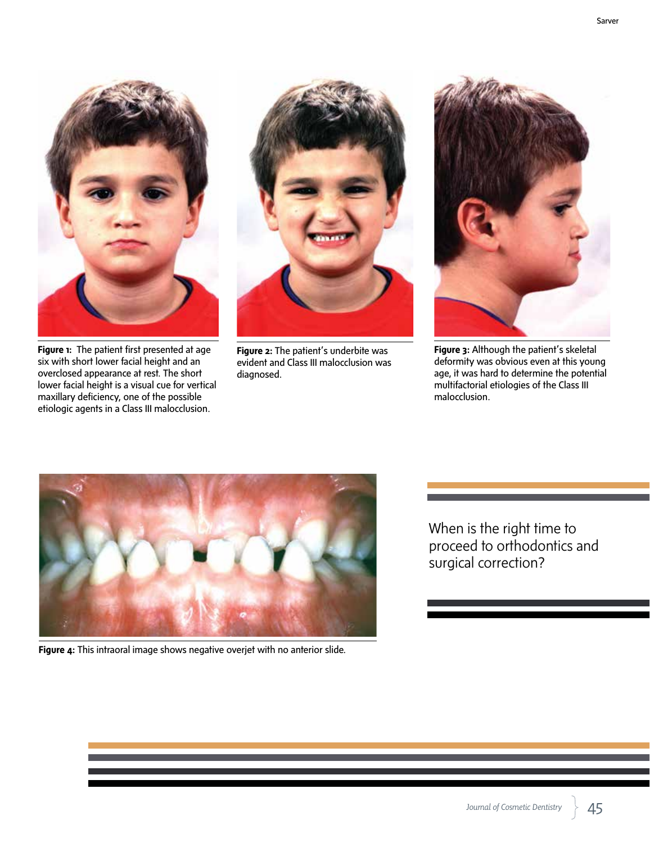

**Figure 1:** The patient first presented at age six with short lower facial height and an overclosed appearance at rest. The short lower facial height is a visual cue for vertical maxillary deficiency, one of the possible etiologic agents in a Class III malocclusion.



**Figure 2:** The patient's underbite was evident and Class III malocclusion was diagnosed.



**Figure 3:** Although the patient's skeletal deformity was obvious even at this young age, it was hard to determine the potential multifactorial etiologies of the Class III malocclusion.



**Figure 4:** This intraoral image shows negative overjet with no anterior slide.

When is the right time to proceed to orthodontics and surgical correction?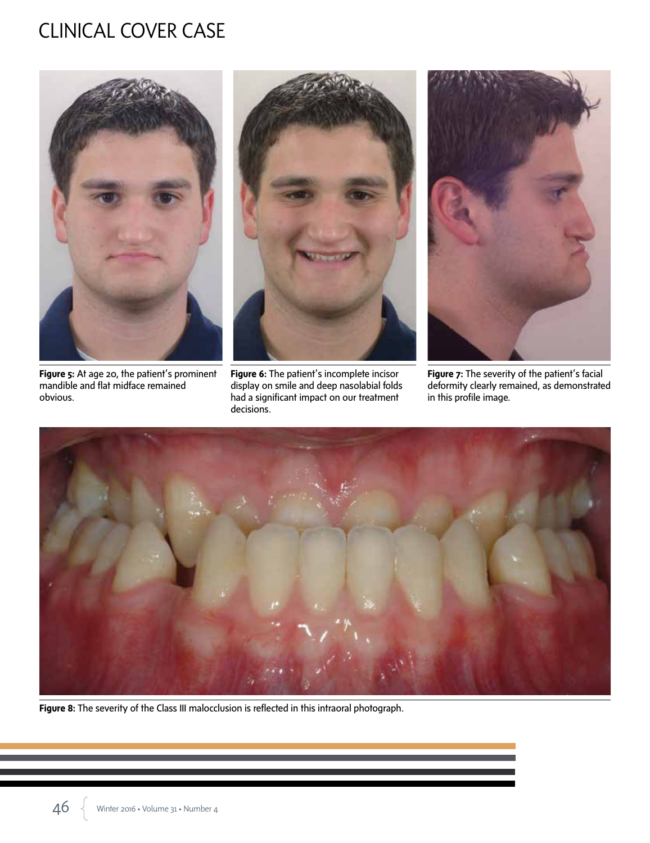

**Figure 5:** At age 20, the patient's prominent mandible and flat midface remained obvious.



**Figure 6:** The patient's incomplete incisor display on smile and deep nasolabial folds had a significant impact on our treatment decisions.



**Figure 7:** The severity of the patient's facial deformity clearly remained, as demonstrated in this profile image.



**Figure 8:** The severity of the Class III malocclusion is reflected in this intraoral photograph.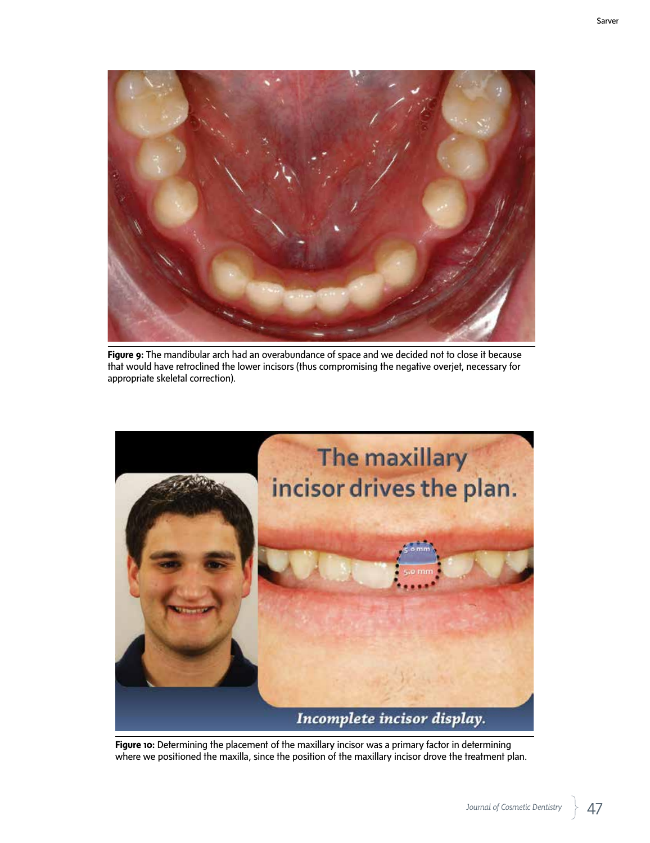

**Figure 9:** The mandibular arch had an overabundance of space and we decided not to close it because that would have retroclined the lower incisors (thus compromising the negative overjet, necessary for appropriate skeletal correction).



Figure 10: Determining the placement of the maxillary incisor was a primary factor in determining where we positioned the maxilla, since the position of the maxillary incisor drove the treatment plan.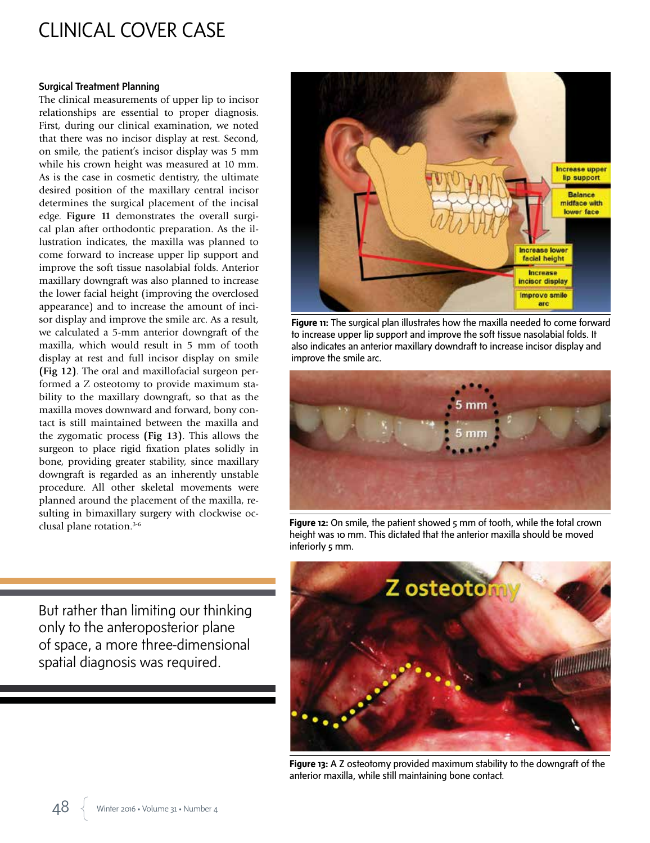#### Surgical Treatment Planning

The clinical measurements of upper lip to incisor relationships are essential to proper diagnosis. First, during our clinical examination, we noted that there was no incisor display at rest. Second, on smile, the patient's incisor display was 5 mm while his crown height was measured at 10 mm. As is the case in cosmetic dentistry, the ultimate desired position of the maxillary central incisor determines the surgical placement of the incisal edge. **Figure 11** demonstrates the overall surgical plan after orthodontic preparation. As the illustration indicates, the maxilla was planned to come forward to increase upper lip support and improve the soft tissue nasolabial folds. Anterior maxillary downgraft was also planned to increase the lower facial height (improving the overclosed appearance) and to increase the amount of incisor display and improve the smile arc. As a result, we calculated a 5-mm anterior downgraft of the maxilla, which would result in 5 mm of tooth display at rest and full incisor display on smile **(Fig 12)**. The oral and maxillofacial surgeon performed a Z osteotomy to provide maximum stability to the maxillary downgraft, so that as the maxilla moves downward and forward, bony contact is still maintained between the maxilla and the zygomatic process **(Fig 13)**. This allows the surgeon to place rigid fixation plates solidly in bone, providing greater stability, since maxillary downgraft is regarded as an inherently unstable procedure. All other skeletal movements were planned around the placement of the maxilla, resulting in bimaxillary surgery with clockwise oc-



**Figure 11:** The surgical plan illustrates how the maxilla needed to come forward to increase upper lip support and improve the soft tissue nasolabial folds. It also indicates an anterior maxillary downdraft to increase incisor display and improve the smile arc.



clusal plane rotation.3-6 **Figure 12:** On smile, the patient showed 5 mm of tooth, while the total crown height was 10 mm. This dictated that the anterior maxilla should be moved inferiorly 5 mm.



**Figure 13:** A Z osteotomy provided maximum stability to the downgraft of the anterior maxilla, while still maintaining bone contact.

But rather than limiting our thinking only to the anteroposterior plane of space, a more three-dimensional spatial diagnosis was required.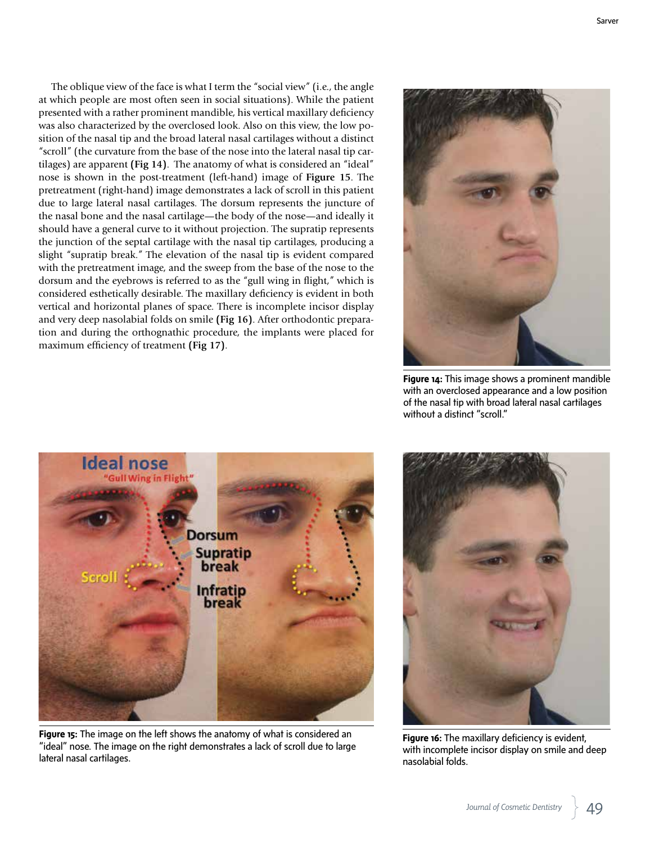The oblique view of the face is what I term the "social view" (i.e., the angle at which people are most often seen in social situations). While the patient presented with a rather prominent mandible, his vertical maxillary deficiency was also characterized by the overclosed look. Also on this view, the low position of the nasal tip and the broad lateral nasal cartilages without a distinct "scroll" (the curvature from the base of the nose into the lateral nasal tip cartilages) are apparent **(Fig 14)**. The anatomy of what is considered an "ideal" nose is shown in the post-treatment (left-hand) image of **Figure 15**. The pretreatment (right-hand) image demonstrates a lack of scroll in this patient due to large lateral nasal cartilages. The dorsum represents the juncture of the nasal bone and the nasal cartilage—the body of the nose—and ideally it should have a general curve to it without projection. The supratip represents the junction of the septal cartilage with the nasal tip cartilages, producing a slight "supratip break." The elevation of the nasal tip is evident compared with the pretreatment image, and the sweep from the base of the nose to the dorsum and the eyebrows is referred to as the "gull wing in flight," which is considered esthetically desirable. The maxillary deficiency is evident in both vertical and horizontal planes of space. There is incomplete incisor display and very deep nasolabial folds on smile **(Fig 16)**. After orthodontic preparation and during the orthognathic procedure, the implants were placed for maximum efficiency of treatment **(Fig 17)**.



**Figure 14:** This image shows a prominent mandible with an overclosed appearance and a low position of the nasal tip with broad lateral nasal cartilages without a distinct "scroll."



**Figure 15:** The image on the left shows the anatomy of what is considered an "ideal" nose. The image on the right demonstrates a lack of scroll due to large lateral nasal cartilages.



**Figure 16:** The maxillary deficiency is evident, with incomplete incisor display on smile and deep nasolabial folds.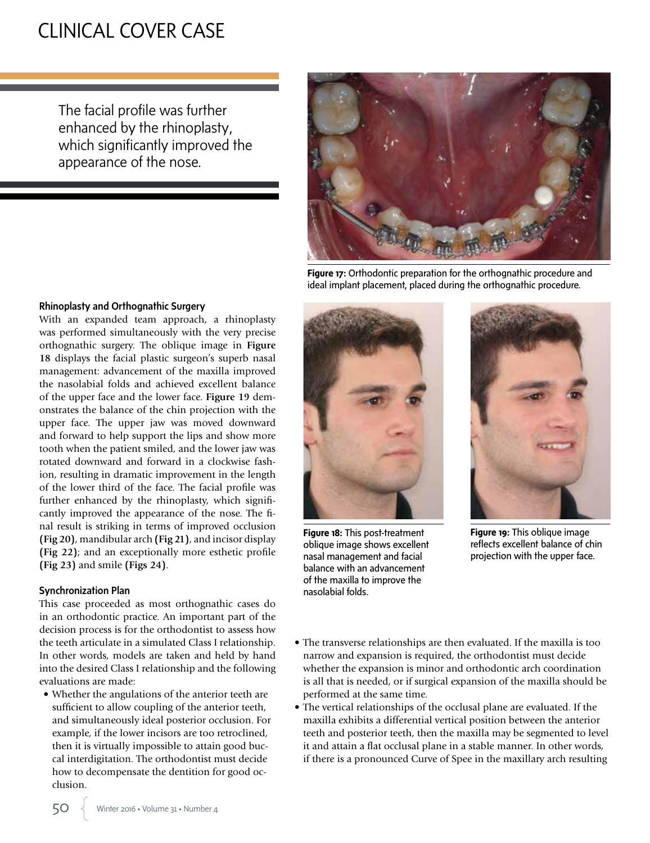The facial profile was further enhanced by the rhinoplasty, which significantly improved the appearance of the nose.



**Figure 17:** Orthodontic preparation for the orthognathic procedure and ideal implant placement, placed during the orthognathic procedure.

#### Rhinoplasty and Orthognathic Surgery

With an expanded team approach, a rhinoplasty was performed simultaneously with the very precise orthognathic surgery. The oblique image in **Figure 18** displays the facial plastic surgeon's superb nasal management: advancement of the maxilla improved the nasolabial folds and achieved excellent balance of the upper face and the lower face. **Figure 19** demonstrates the balance of the chin projection with the upper face. The upper jaw was moved downward and forward to help support the lips and show more tooth when the patient smiled, and the lower jaw was rotated downward and forward in a clockwise fashion, resulting in dramatic improvement in the length of the lower third of the face. The facial profile was further enhanced by the rhinoplasty, which significantly improved the appearance of the nose. The final result is striking in terms of improved occlusion **(Fig 20)**, mandibular arch **(Fig 21)**, and incisor display **(Fig 22)**; and an exceptionally more esthetic profile **(Fig 23)** and smile **(Figs 24)**.

### Synchronization Plan

This case proceeded as most orthognathic cases do in an orthodontic practice. An important part of the decision process is for the orthodontist to assess how the teeth articulate in a simulated Class I relationship. In other words, models are taken and held by hand into the desired Class I relationship and the following evaluations are made:

• Whether the angulations of the anterior teeth are sufficient to allow coupling of the anterior teeth, and simultaneously ideal posterior occlusion. For example, if the lower incisors are too retroclined, then it is virtually impossible to attain good buccal interdigitation. The orthodontist must decide how to decompensate the dentition for good occlusion.



**Figure 18:** This post-treatment oblique image shows excellent nasal management and facial balance with an advancement of the maxilla to improve the nasolabial folds.



**Figure 19:** This oblique image reflects excellent balance of chin projection with the upper face.

- The transverse relationships are then evaluated. If the maxilla is too narrow and expansion is required, the orthodontist must decide whether the expansion is minor and orthodontic arch coordination is all that is needed, or if surgical expansion of the maxilla should be performed at the same time.
- The vertical relationships of the occlusal plane are evaluated. If the maxilla exhibits a differential vertical position between the anterior teeth and posterior teeth, then the maxilla may be segmented to level it and attain a flat occlusal plane in a stable manner. In other words, if there is a pronounced Curve of Spee in the maxillary arch resulting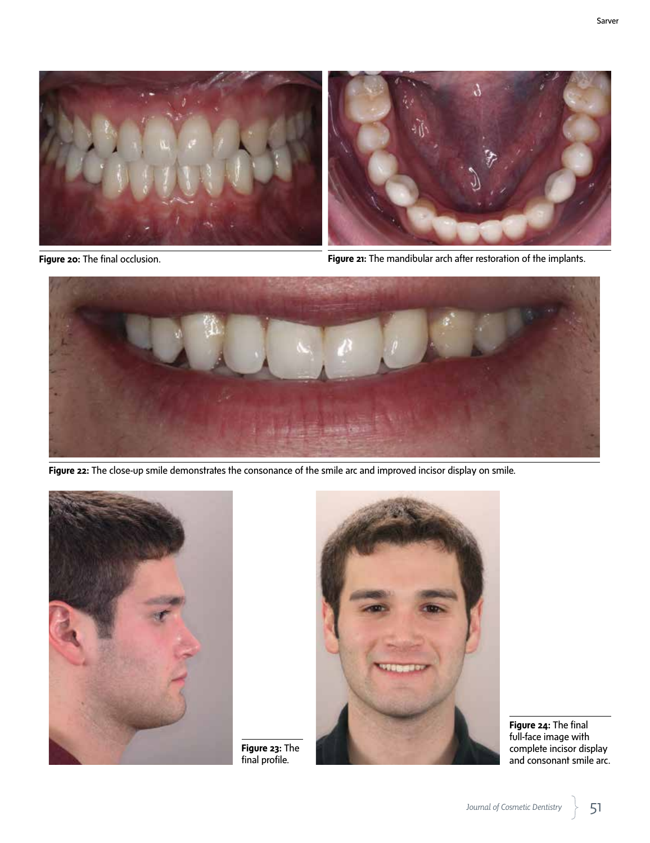



**Figure 20:** The final occlusion. **Figure 21:** The mandibular arch after restoration of the implants.



**Figure 22:** The close-up smile demonstrates the consonance of the smile arc and improved incisor display on smile.



**Figure 23:** The final profile.



**Figure 24:** The final full-face image with complete incisor display and consonant smile arc.